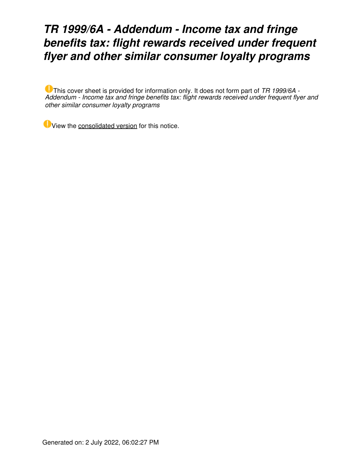### *TR 1999/6A - Addendum - Income tax and fringe benefits tax: flight rewards received under frequent flyer and other similar consumer loyalty programs*

This cover sheet is provided for information only. It does not form part of *TR 1999/6A - Addendum - Income tax and fringe benefits tax: flight rewards received under frequent flyer and other similar consumer loyalty programs*

View the [consolidated version](https://www.ato.gov.au/law/view/document?DocID=%22TXR%2FTR19996%2FNAT%2FATO%2F00001%22&PiT=20200129000001) for this notice.